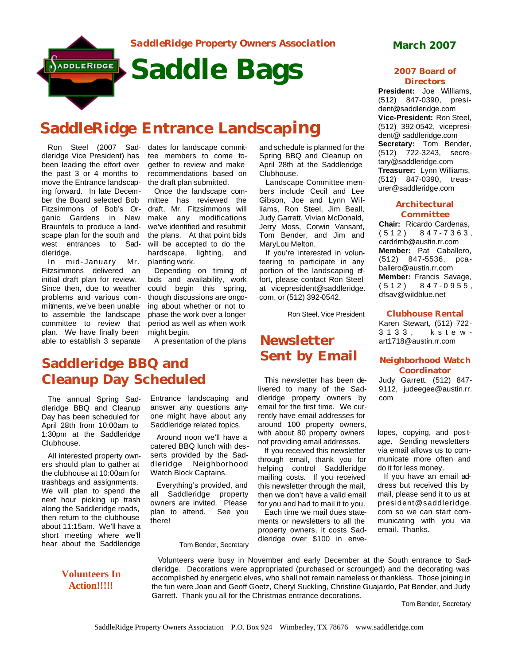

# **SaddleRidge Entrance Landscaping**

Ron Steel (2007 Sad-dates for landscape commitdleridge Vice President) has been leading the effort over the past 3 or 4 months to move the Entrance landscaping forward. In late December the Board selected Bob Fitzsimmons of Bob's Organic Gardens in New Braunfels to produce a landscape plan for the south and west entrances to Saddleridge.

In mid- January Mr. Fitzsimmons delivered an initial draft plan for review. Since then, due to weather problems and various commitments, we've been unable to assemble the landscape committee to review that plan. We have finally been able to establish 3 separate

The annual Spring Saddleridge BBQ and Cleanup Day has been scheduled for April 28th from 10:00am to 1:30pm at the Saddleridge

**Saddleridge BBQ and** 

**Cleanup Day Scheduled**

All interested property owners should plan to gather at the clubhouse at 10:00am for trashbags and assignments. We will plan to spend the next hour picking up trash along the Saddleridge roads, then return to the clubhouse about 11:15am. We'll have a short meeting where we'll hear about the Saddleridge

Clubhouse.

tee members to come together to review and make recommendations based on the draft plan submitted.

Once the landscape committee has reviewed the draft, Mr. Fitzsimmons will make any modifications we've identified and resubmit the plans. At that point bids will be accepted to do the hardscape, lighting, and planting work.

Depending on timing of bids and availability, work could begin this spring, though discussions are ongoing about whether or not to phase the work over a longer period as well as when work might begin.

A presentation of the plans

Entrance landscaping and answer any questions anyone might have about any Saddleridge related topics. Around noon we'll have a catered BBQ lunch with desserts provided by the Saddleridge Neighborhood Watch Block Captains.

Everything's provided, and all Saddleridge property owners are invited. Please plan to attend. See you

Tom Bender, Secretary

there!

and schedule is planned for the Spring BBQ and Cleanup on April 28th at the Saddleridge Clubhouse.

Landscape Committee members include Cecil and Lee Gibson, Joe and Lynn Williams, Ron Steel, Jim Beall, Judy Garrett, Vivian McDonald, Jerry Moss, Corwin Vansant, Tom Bender, and Jim and MaryLou Melton.

If you're interested in volunteering to participate in any portion of the landscaping effort, please contact Ron Steel at vicepresident@saddleridge. com, or (512) 392-0542.

Ron Steel, Vice President

### **Newsletter Sent by Email**

This newsletter has been delivered to many of the Saddleridge property owners by email for the first time. We currently have email addresses for around 100 property owners, with about 80 property owners not providing email addresses.

If you received this newsletter through email, thank you for helping control Saddleridge mailing costs. If you received this newsletter through the mail, then we don't have a valid email for you and had to mail it to you.

Each time we mail dues statements or newsletters to all the property owners, it costs Saddleridge over \$100 in enve-

#### **2007 Board of Directors**

**President:** Joe Williams, (512) 847-0390, president@saddleridge.com **Vice-President:** Ron Steel, (512) 392-0542, vicepresident@ saddleridge.com **Secretary:** Tom Bender, (512) 722-3243, secretary@saddleridge.com **Treasurer:** Lynn Williams, (512) 847-0390, treasurer@saddleridge.com

#### **Architectural Committee**

**Chair:** Ricardo Cardenas, (512) 847 - 7363 , cardrlmb@austin.rr.com **Member:** Pat Caballero, (512) 847-5536, pcaballero@austin.rr.com **Member:** Francis Savage, (512) 847 - 0955 , dfsav@wildblue.net

**Clubhouse Rental** Karen Stewart, (512) 722- 3133, kste w -

art1718@austin.rr.com

### **Neighborhood Watch Coordinator**

Judy Garrett, (512) 847- 9112, judeegee@austin.rr. com

lopes, copying, and pos tage. Sending newsletters via email allows us to communicate more often and do it for less money.

If you have an email address but received this by mail, please send it to us at president@saddleridge. com so we can start communicating with you via email. Thanks.

**Volunteers In Action!!!!!**

Volunteers were busy in November and early December at the South entrance to Saddleridge. Decorations were appropriated (purchased or scrounged) and the decorating was accomplished by energetic elves, who shall not remain nameless or thankless. Those joining in the fun were Joan and Geoff Goetz, Cheryl Suckling, Christine Guajardo, Pat Bender, and Judy Garrett. Thank you all for the Christmas entrance decorations.

Tom Bender, Secretary